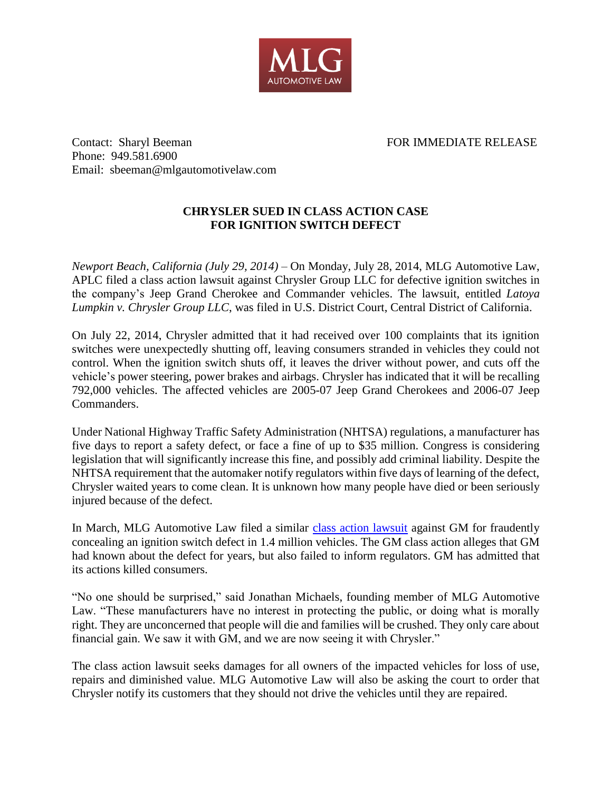

Contact: Sharyl Beeman FOR IMMEDIATE RELEASE Phone: 949.581.6900 Email: sbeeman@mlgautomotivelaw.com

## **CHRYSLER SUED IN CLASS ACTION CASE FOR IGNITION SWITCH DEFECT**

*Newport Beach, California (July 29, 2014)* – On Monday, July 28, 2014, MLG Automotive Law, APLC filed a class action lawsuit against Chrysler Group LLC for defective ignition switches in the company's Jeep Grand Cherokee and Commander vehicles. The lawsuit, entitled *Latoya Lumpkin v. Chrysler Group LLC*, was filed in U.S. District Court, Central District of California.

On July 22, 2014, Chrysler admitted that it had received over 100 complaints that its ignition switches were unexpectedly shutting off, leaving consumers stranded in vehicles they could not control. When the ignition switch shuts off, it leaves the driver without power, and cuts off the vehicle's power steering, power brakes and airbags. Chrysler has indicated that it will be recalling 792,000 vehicles. The affected vehicles are 2005-07 Jeep Grand Cherokees and 2006-07 Jeep Commanders.

Under National Highway Traffic Safety Administration (NHTSA) regulations, a manufacturer has five days to report a safety defect, or face a fine of up to \$35 million. Congress is considering legislation that will significantly increase this fine, and possibly add criminal liability. Despite the NHTSA requirement that the automaker notify regulators within five days of learning of the defect, Chrysler waited years to come clean. It is unknown how many people have died or been seriously injured because of the defect.

In March, MLG Automotive Law filed a similar [class action](http://mlgautomotivelaw.com/press/GM-Class-Action-Lawsuit-32114.pdf) lawsuit against GM for fraudently concealing an ignition switch defect in 1.4 million vehicles. The GM class action alleges that GM had known about the defect for years, but also failed to inform regulators. GM has admitted that its actions killed consumers.

"No one should be surprised," said Jonathan Michaels, founding member of MLG Automotive Law. "These manufacturers have no interest in protecting the public, or doing what is morally right. They are unconcerned that people will die and families will be crushed. They only care about financial gain. We saw it with GM, and we are now seeing it with Chrysler."

The class action lawsuit seeks damages for all owners of the impacted vehicles for loss of use, repairs and diminished value. MLG Automotive Law will also be asking the court to order that Chrysler notify its customers that they should not drive the vehicles until they are repaired.